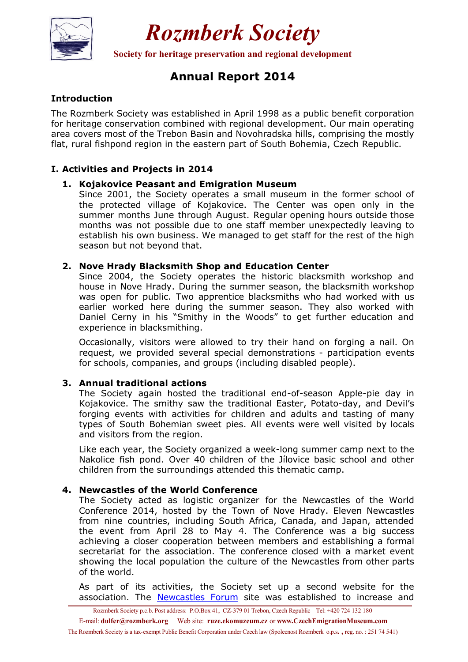

*Rozmberk Society* 

**Society for heritage preservation and regional development**

## **Annual Report 2014**

#### **Introduction**

The Rozmberk Society was established in April 1998 as a public benefit corporation for heritage conservation combined with regional development. Our main operating area covers most of the Trebon Basin and Novohradska hills, comprising the mostly flat, rural fishpond region in the eastern part of South Bohemia, Czech Republic.

### **I. Activities and Projects in 2014**

#### **1. Kojakovice Peasant and Emigration Museum**

Since 2001, the Society operates a small museum in the former school of the protected village of Kojakovice. The Center was open only in the summer months June through August. Regular opening hours outside those months was not possible due to one staff member unexpectedly leaving to establish his own business. We managed to get staff for the rest of the high season but not beyond that.

#### **2. Nove Hrady Blacksmith Shop and Education Center**

Since 2004, the Society operates the historic blacksmith workshop and house in Nove Hrady. During the summer season, the blacksmith workshop was open for public. Two apprentice blacksmiths who had worked with us earlier worked here during the summer season. They also worked with Daniel Cerny in his "Smithy in the Woods" to get further education and experience in blacksmithing.

Occasionally, visitors were allowed to try their hand on forging a nail. On request, we provided several special demonstrations - participation events for schools, companies, and groups (including disabled people).

#### **3. Annual traditional actions**

The Society again hosted the traditional end-of-season Apple-pie day in Kojakovice. The smithy saw the traditional Easter, Potato-day, and Devil's forging events with activities for children and adults and tasting of many types of South Bohemian sweet pies. All events were well visited by locals and visitors from the region.

Like each year, the Society organized a week-long summer camp next to the Nakolice fish pond. Over 40 children of the Jílovice basic school and other children from the surroundings attended this thematic camp.

#### **4. Newcastles of the World Conference**

The Society acted as logistic organizer for the Newcastles of the World Conference 2014, hosted by the Town of Nove Hrady. Eleven Newcastles from nine countries, including South Africa, Canada, and Japan, attended the event from April 28 to May 4. The Conference was a big success achieving a closer cooperation between members and establishing a formal secretariat for the association. The conference closed with a market event showing the local population the culture of the Newcastles from other parts of the world.

As part of its activities, the Society set up a second website for the association. The Newcastles Forum site was established to increase and

Rozmberk Society p.c.b. Post address: P.O.Box 41, CZ-379 01 Trebon, Czech Republic Tel: +420 724 132 180

E-mail: **dulfer@rozmberk.org** Web site: **ruze.ekomuzeum.cz** or **www.CzechEmigrationMuseum.com**

The Rozmberk Society is a tax-exempt Public Benefit Corporation under Czech law (Spolecnost Rozmberk o.p.s**. ,** reg. no. : 251 74 541)